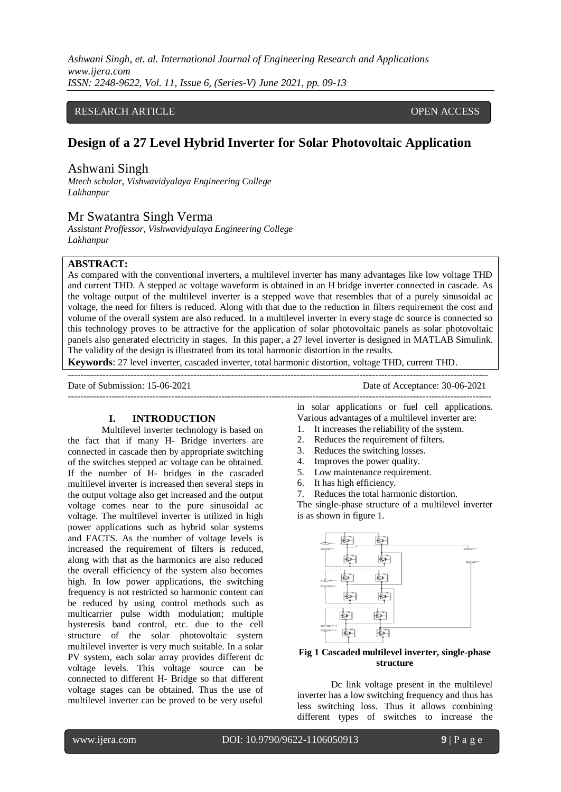*Ashwani Singh, et. al. International Journal of Engineering Research and Applications www.ijera.com ISSN: 2248-9622, Vol. 11, Issue 6, (Series-V) June 2021, pp. 09-13*

### RESEARCH ARTICLE **CONSERVERS** OPEN ACCESS

# **Design of a 27 Level Hybrid Inverter for Solar Photovoltaic Application**

### Ashwani Singh

*Mtech scholar, Vishwavidyalaya Engineering College Lakhanpur*

### Mr Swatantra Singh Verma

*Assistant Proffessor, Vishwavidyalaya Engineering College Lakhanpur*

### **ABSTRACT:**

As compared with the conventional inverters, a multilevel inverter has many advantages like low voltage THD and current THD. A stepped ac voltage waveform is obtained in an H bridge inverter connected in cascade. As the voltage output of the multilevel inverter is a stepped wave that resembles that of a purely sinusoidal ac voltage, the need for filters is reduced. Along with that due to the reduction in filters requirement the cost and volume of the overall system are also reduced. In a multilevel inverter in every stage dc source is connected so this technology proves to be attractive for the application of solar photovoltaic panels as solar photovoltaic panels also generated electricity in stages. In this paper, a 27 level inverter is designed in MATLAB Simulink. The validity of the design is illustrated from its total harmonic distortion in the results.

**Keywords**: 27 level inverter, cascaded inverter, total harmonic distortion, voltage THD, current THD.

--------------------------------------------------------------------------------------------------------------------------------------

---------------------------------------------------------------------------------------------------------------------------------------

#### **I. INTRODUCTION**

Multilevel inverter technology is based on the fact that if many H- Bridge inverters are connected in cascade then by appropriate switching of the switches stepped ac voltage can be obtained. If the number of H- bridges in the cascaded multilevel inverter is increased then several steps in the output voltage also get increased and the output voltage comes near to the pure sinusoidal ac voltage. The multilevel inverter is utilized in high power applications such as hybrid solar systems and FACTS. As the number of voltage levels is increased the requirement of filters is reduced, along with that as the harmonics are also reduced the overall efficiency of the system also becomes high. In low power applications, the switching frequency is not restricted so harmonic content can be reduced by using control methods such as multicarrier pulse width modulation; multiple hysteresis band control, etc. due to the cell structure of the solar photovoltaic system multilevel inverter is very much suitable. In a solar PV system, each solar array provides different dc voltage levels. This voltage source can be connected to different H- Bridge so that different voltage stages can be obtained. Thus the use of multilevel inverter can be proved to be very useful

Date of Submission: 15-06-2021 Date of Acceptance: 30-06-2021

in solar applications or fuel cell applications. Various advantages of a multilevel inverter are:

- 1. It increases the reliability of the system.<br>2. Reduces the requirement of filters.
- Reduces the requirement of filters.
- 3. Reduces the switching losses.
- 4. Improves the power quality.
- 5. Low maintenance requirement.
- 6. It has high efficiency.

7. Reduces the total harmonic distortion.

The single-phase structure of a multilevel inverter is as shown in figure 1.



#### **Fig 1 Cascaded multilevel inverter, single-phase structure**

Dc link voltage present in the multilevel inverter has a low switching frequency and thus has less switching loss. Thus it allows combining different types of switches to increase the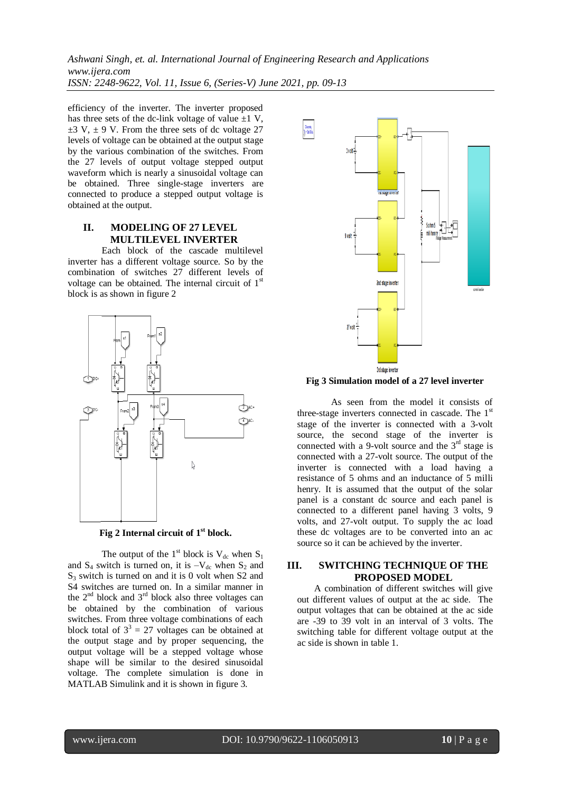*Ashwani Singh, et. al. International Journal of Engineering Research and Applications www.ijera.com ISSN: 2248-9622, Vol. 11, Issue 6, (Series-V) June 2021, pp. 09-13*

efficiency of the inverter. The inverter proposed has three sets of the dc-link voltage of value  $\pm 1$  V,  $\pm$ 3 V,  $\pm$  9 V. From the three sets of dc voltage 27 levels of voltage can be obtained at the output stage by the various combination of the switches. From the 27 levels of output voltage stepped output waveform which is nearly a sinusoidal voltage can be obtained. Three single-stage inverters are connected to produce a stepped output voltage is obtained at the output.

## **II. MODELING OF 27 LEVEL MULTILEVEL INVERTER**

Each block of the cascade multilevel inverter has a different voltage source. So by the combination of switches 27 different levels of voltage can be obtained. The internal circuit of 1<sup>st</sup> block is as shown in figure 2





The output of the 1<sup>st</sup> block is  $V_{dc}$  when  $S_1$ and  $S_4$  switch is turned on, it is  $-V_{dc}$  when  $S_2$  and  $S_3$  switch is turned on and it is 0 volt when S2 and S4 switches are turned on. In a similar manner in the  $2<sup>nd</sup>$  block and  $3<sup>rd</sup>$  block also three voltages can be obtained by the combination of various switches. From three voltage combinations of each block total of  $3^3 = 27$  voltages can be obtained at the output stage and by proper sequencing, the output voltage will be a stepped voltage whose shape will be similar to the desired sinusoidal voltage. The complete simulation is done in MATLAB Simulink and it is shown in figure 3.



**Fig 3 Simulation model of a 27 level inverter**

As seen from the model it consists of three-stage inverters connected in cascade. The  $1<sup>st</sup>$ stage of the inverter is connected with a 3-volt source, the second stage of the inverter is connected with a 9-volt source and the  $3<sup>rd</sup>$  stage is connected with a 27-volt source. The output of the inverter is connected with a load having a resistance of 5 ohms and an inductance of 5 milli henry. It is assumed that the output of the solar panel is a constant dc source and each panel is connected to a different panel having 3 volts, 9 volts, and 27-volt output. To supply the ac load these dc voltages are to be converted into an ac source so it can be achieved by the inverter.

### **III. SWITCHING TECHNIQUE OF THE PROPOSED MODEL**

A combination of different switches will give out different values of output at the ac side. The output voltages that can be obtained at the ac side are -39 to 39 volt in an interval of 3 volts. The switching table for different voltage output at the ac side is shown in table 1.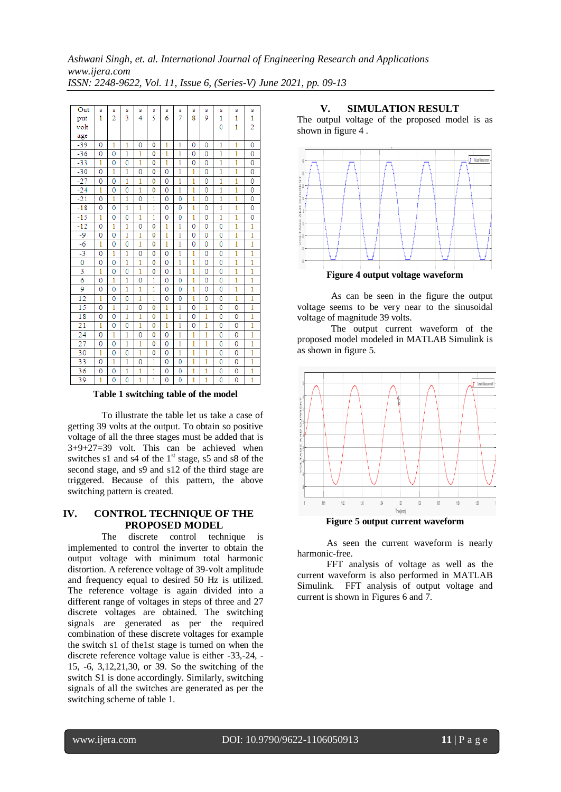*Ashwani Singh, et. al. International Journal of Engineering Research and Applications www.ijera.com ISSN: 2248-9622, Vol. 11, Issue 6, (Series-V) June 2021, pp. 09-13*

| Out          | s<br>1      | S<br>$\overline{2}$ | s<br>3 | s<br>4 | s<br>5      | s<br>6      | s<br>7       | s<br>8 | s<br>9      | s<br>1       | s<br>1         | s<br>1         |
|--------------|-------------|---------------------|--------|--------|-------------|-------------|--------------|--------|-------------|--------------|----------------|----------------|
| put          |             |                     |        |        |             |             |              |        |             |              |                |                |
| volt         |             |                     |        |        |             |             |              |        |             | $\Omega$     | $\mathbf{1}$   | $\overline{2}$ |
| age          |             |                     |        |        |             |             |              |        |             |              |                |                |
| $-39$        | 0           | 1                   | 1      | 0      | 0           | 1           | 1            | 0      | 0           | 1            | 1              | 0              |
| $-36$        | 0           | 0                   | 1      | 1      | 0           | 1           | 1            | 0      | 0           | 1            | 1              | 0              |
| $-33$        | 1           | 0                   | 0      | 1      | 0           | 1           | 1            | 0      | 0           | 1            | 1              | 0              |
| $-30$        | 0           | 1                   | 1      | 0      | 0           | 0           | 1            | 1      | 0           | 1            | 1              | 0              |
| $-27$        | Ō           | 0                   | 1      | 1      | 0           | 0           | 1            | 1      | 0           | 1            | 1              | Ō              |
| $-24$        | 1           | 0                   | 0      | 1      | 0           | 0           | 1            | 1      | 0           | 1            | 1              | 0              |
| $-21$        | 0           | 1                   | 1      | 0      | 1           | 0           | 0            | 1      | 0           | 1            | 1              | 0              |
| -18          | 0           | 0                   | 1      | 1      | 1           | 0           | 0            | 1      | 0           | 1            | 1              | 0              |
| $-15$        | 1           | 0                   | 0      | 1      | 1           | 0           | 0            | 1      | 0           | 1            | 1              | 0              |
| $-12$        | $\mathbf 0$ | 1                   | 1      | 0      | $\mathbf 0$ | 1           | 1            | 0      | 0           | $\mathbf{0}$ | 1              | 1              |
| -9           | 0           | 0                   | 1      | 1      | 0           | 1           | 1            | 0      | 0           | 0            | 1              | 1              |
| $-6$         | 1           | 0                   | 0      | 1      | 0           | 1           | 1            | 0      | $\mathbf 0$ | 0            | ī              | $\mathbf{1}$   |
| -3           | 0           | 1                   | 1      | 0      | 0           | 0           | 1            | 1      | 0           | 0            | 1              | 1              |
| $\mathbf{0}$ | 0           | 0                   | 1      | 1      | 0           | 0           | 1            | 1      | 0           | $\mathbf 0$  | $\overline{1}$ | $\overline{1}$ |
| 3            | 1           | 0                   | 0      | 1      | 0           | 0           | 1            | 1      | 0           | 0            | 1              | 1              |
| 6            | 0           | 1                   | 1      | 0      | 1           | 0           | 0            | 1      | 0           | 0            | 1              | 1              |
| 9            | $\mathbf 0$ | Ō                   | 1      | 1      | 1           | $\mathbf 0$ | $\mathbf 0$  | 1      | 0           | 0            | 1              | 1              |
| 12           | 1           | 0                   | 0      | 1      | 1           | 0           | 0            | 1      | 0           | 0            | 1              | 1              |
| 15           | 0           | $\overline{1}$      | ī      | 0      | 0           | 1           | 1            | 0      | 1           | 0            | 0              | 1              |
| 18           | 0           | 0                   | 1      | 1      | $\mathbf 0$ | 1           | $\mathbf{1}$ | 0      | 1           | $\mathbf 0$  | $\mathbf 0$    | 1              |
| 21           | 1           | 0                   | 0      | 1      | 0           | 1           | 1            | 0      | 1           | 0            | 0              | 1              |
| 24           | 0           | 1                   | 1      | 0      | 0           | 0           | 1            | 1      | 1           | 0            | 0              | 1              |
| 27           | 0           | 0                   | 1      | 1      | 0           | 0           | 1            | 1      | 1           | 0            | 0              | 1              |
| 30           | 1           | 0                   | 0      | 1      | 0           | 0           | 1            | 1      | 1           | 0            | 0              | 1              |
| 33           | 0           | 1                   | 1      | 0      | 1           | 0           | 0            | 1      | 1           | 0            | 0              | 1              |
| 36           | 0           | 0                   | 1      | 1      | 1           | 0           | 0            | 1      | 1           | 0            | 0              | 1              |
| 39           | 1           | 0                   | 0      | 1      | 1           | 0           | 0            | 1      | 1           | 0            | 0              | 1              |

**Table 1 switching table of the model**

To illustrate the table let us take a case of getting 39 volts at the output. To obtain so positive voltage of all the three stages must be added that is  $3+9+27=39$  volt. This can be achieved when switches  $s1$  and  $s4$  of the  $1<sup>st</sup>$  stage,  $s5$  and  $s8$  of the second stage, and s9 and s12 of the third stage are triggered. Because of this pattern, the above switching pattern is created.

## **IV. CONTROL TECHNIQUE OF THE PROPOSED MODEL**

The discrete control technique is implemented to control the inverter to obtain the output voltage with minimum total harmonic distortion. A reference voltage of 39-volt amplitude and frequency equal to desired 50 Hz is utilized. The reference voltage is again divided into a different range of voltages in steps of three and 27 discrete voltages are obtained. The switching signals are generated as per the required combination of these discrete voltages for example the switch s1 of the1st stage is turned on when the discrete reference voltage value is either -33,-24, - 15, -6, 3,12,21,30, or 39. So the switching of the switch S1 is done accordingly. Similarly, switching signals of all the switches are generated as per the switching scheme of table 1.

**V. SIMULATION RESULT**

The outpul voltage of the proposed model is as shown in figure 4 .



As can be seen in the figure the output voltage seems to be very near to the sinusoidal voltage of magnitude 39 volts.

The output current waveform of the proposed model modeled in MATLAB Simulink is as shown in figure 5.



**Figure 5 output current waveform**

As seen the current waveform is nearly harmonic-free.

FFT analysis of voltage as well as the current waveform is also performed in MATLAB Simulink. FFT analysis of output voltage and current is shown in Figures 6 and 7.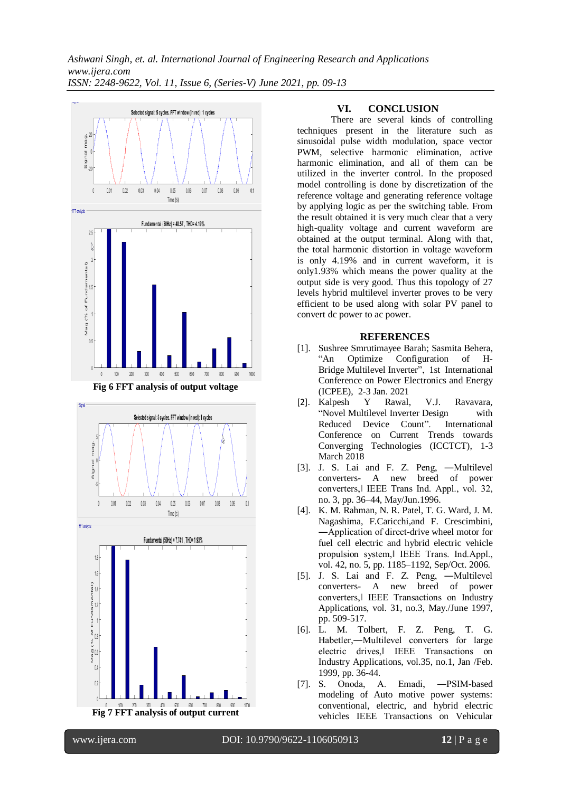

**Fig 6 FFT analysis of output voltage**





### **VI. CONCLUSION**

There are several kinds of controlling techniques present in the literature such as sinusoidal pulse width modulation, space vector PWM, selective harmonic elimination, active harmonic elimination, and all of them can be utilized in the inverter control. In the proposed model controlling is done by discretization of the reference voltage and generating reference voltage by applying logic as per the switching table. From the result obtained it is very much clear that a very high-quality voltage and current waveform are obtained at the output terminal. Along with that, the total harmonic distortion in voltage waveform is only 4.19% and in current waveform, it is only1.93% which means the power quality at the output side is very good. Thus this topology of 27 levels hybrid multilevel inverter proves to be very efficient to be used along with solar PV panel to convert dc power to ac power.

### **REFERENCES**

- [1]. [Sushree Smrutimayee Barah;](https://ieeexplore.ieee.org/author/37088849354) [Sasmita Behera,](https://ieeexplore.ieee.org/author/37085641392) ["An Optimize Configuration of H-](https://ieeexplore.ieee.org/document/9358533/)Bridge [Multilevel](https://ieeexplore.ieee.org/document/9358533/) Inverter", [1st International](https://ieeexplore.ieee.org/xpl/conhome/9358463/proceeding)  [Conference on Power Electronics and Energy](https://ieeexplore.ieee.org/xpl/conhome/9358463/proceeding)  [\(ICPEE\),](https://ieeexplore.ieee.org/xpl/conhome/9358463/proceeding) 2-3 Jan. 2021
- [2]. Kalpesh Y Rawal, V.J. Ravavara, "Novel Multilevel Inverter [Design with](https://ieeexplore.ieee.org/document/8550867/)  [Reduced Device Count"](https://ieeexplore.ieee.org/document/8550867/). [International](https://ieeexplore.ieee.org/xpl/conhome/8536362/proceeding)  [Conference on Current Trends towards](https://ieeexplore.ieee.org/xpl/conhome/8536362/proceeding)  [Converging Technologies \(ICCTCT\),](https://ieeexplore.ieee.org/xpl/conhome/8536362/proceeding) 1-3 March 2018
- [3]. J. S. Lai and F. Z. Peng, ―Multilevel converters- A new breed of power converters,‖ IEEE Trans Ind. Appl., vol. 32, no. 3, pp. 36–44, May/Jun.1996.
- [4]. K. M. Rahman, N. R. Patel, T. G. Ward, J. M. Nagashima, F.Caricchi,and F. Crescimbini, ―Application of direct-drive wheel motor for fuel cell electric and hybrid electric vehicle propulsion system,‖ IEEE Trans. Ind.Appl., vol. 42, no. 5, pp. 1185–1192, Sep/Oct. 2006.
- [5]. J. S. Lai and F. Z. Peng, ―Multilevel converters- A new breed of power converters,‖ IEEE Transactions on Industry Applications, vol. 31, no.3, May./June 1997, pp. 509-517.
- [6]. L. M. Tolbert, F. Z. Peng, T. G. Habetler,―Multilevel converters for large electric drives,‖ IEEE Transactions on Industry Applications, vol.35, no.1, Jan /Feb. 1999, pp. 36-44.
- [7]. S. Onoda, A. Emadi, ―PSIM-based modeling of Auto motive power systems: conventional, electric, and hybrid electric vehicles IEEE Transactions on Vehicular